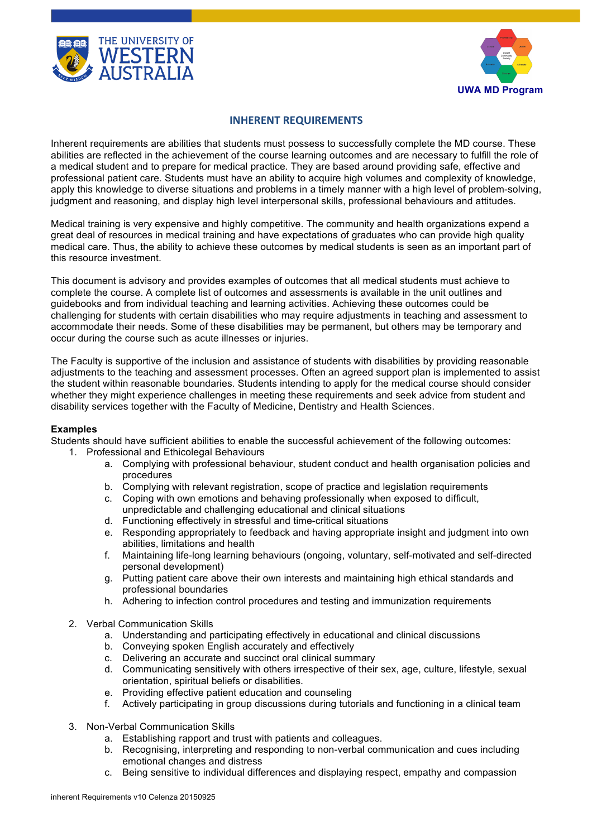



## **INHERENT REQUIREMENTS**

Inherent requirements are abilities that students must possess to successfully complete the MD course. These abilities are reflected in the achievement of the course learning outcomes and are necessary to fulfill the role of a medical student and to prepare for medical practice. They are based around providing safe, effective and professional patient care. Students must have an ability to acquire high volumes and complexity of knowledge, apply this knowledge to diverse situations and problems in a timely manner with a high level of problem-solving, judgment and reasoning, and display high level interpersonal skills, professional behaviours and attitudes.

Medical training is very expensive and highly competitive. The community and health organizations expend a great deal of resources in medical training and have expectations of graduates who can provide high quality medical care. Thus, the ability to achieve these outcomes by medical students is seen as an important part of this resource investment.

This document is advisory and provides examples of outcomes that all medical students must achieve to complete the course. A complete list of outcomes and assessments is available in the unit outlines and guidebooks and from individual teaching and learning activities. Achieving these outcomes could be challenging for students with certain disabilities who may require adjustments in teaching and assessment to accommodate their needs. Some of these disabilities may be permanent, but others may be temporary and occur during the course such as acute illnesses or injuries.

The Faculty is supportive of the inclusion and assistance of students with disabilities by providing reasonable adjustments to the teaching and assessment processes. Often an agreed support plan is implemented to assist the student within reasonable boundaries. Students intending to apply for the medical course should consider whether they might experience challenges in meeting these requirements and seek advice from student and disability services together with the Faculty of Medicine, Dentistry and Health Sciences.

## **Examples**

Students should have sufficient abilities to enable the successful achievement of the following outcomes: 1. Professional and Ethicolegal Behaviours

- a. Complying with professional behaviour, student conduct and health organisation policies and procedures
	- b. Complying with relevant registration, scope of practice and legislation requirements
	- c. Coping with own emotions and behaving professionally when exposed to difficult,
	- unpredictable and challenging educational and clinical situations
	- d. Functioning effectively in stressful and time-critical situations
	- e. Responding appropriately to feedback and having appropriate insight and judgment into own abilities, limitations and health
	- f. Maintaining life-long learning behaviours (ongoing, voluntary, self-motivated and self-directed personal development)
	- g. Putting patient care above their own interests and maintaining high ethical standards and professional boundaries
	- h. Adhering to infection control procedures and testing and immunization requirements
- 2. Verbal Communication Skills
	- a. Understanding and participating effectively in educational and clinical discussions
	- b. Conveying spoken English accurately and effectively
	- c. Delivering an accurate and succinct oral clinical summary
	- d. Communicating sensitively with others irrespective of their sex, age, culture, lifestyle, sexual orientation, spiritual beliefs or disabilities.
	- e. Providing effective patient education and counseling
	- f. Actively participating in group discussions during tutorials and functioning in a clinical team
- 3. Non-Verbal Communication Skills
	- a. Establishing rapport and trust with patients and colleagues.
	- b. Recognising, interpreting and responding to non-verbal communication and cues including emotional changes and distress
	- c. Being sensitive to individual differences and displaying respect, empathy and compassion